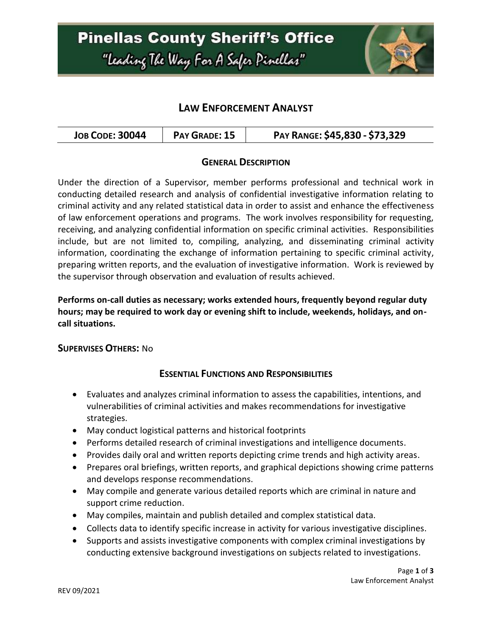## **Pinellas County Sheriff's Office** "Leading The Way For A Safer Pinellar"



## **LAW ENFORCEMENT ANALYST**

| <b>JOB CODE: 30044</b><br>PAY GRADE: 15 | PAY RANGE: \$45,830 - \$73,329 |
|-----------------------------------------|--------------------------------|
|-----------------------------------------|--------------------------------|

#### **GENERAL DESCRIPTION**

Under the direction of a Supervisor, member performs professional and technical work in conducting detailed research and analysis of confidential investigative information relating to criminal activity and any related statistical data in order to assist and enhance the effectiveness of law enforcement operations and programs. The work involves responsibility for requesting, receiving, and analyzing confidential information on specific criminal activities. Responsibilities include, but are not limited to, compiling, analyzing, and disseminating criminal activity information, coordinating the exchange of information pertaining to specific criminal activity, preparing written reports, and the evaluation of investigative information. Work is reviewed by the supervisor through observation and evaluation of results achieved.

#### **Performs on-call duties as necessary; works extended hours, frequently beyond regular duty hours; may be required to work day or evening shift to include, weekends, holidays, and oncall situations.**

#### **SUPERVISES OTHERS:** No

#### **ESSENTIAL FUNCTIONS AND RESPONSIBILITIES**

- Evaluates and analyzes criminal information to assess the capabilities, intentions, and vulnerabilities of criminal activities and makes recommendations for investigative strategies.
- May conduct logistical patterns and historical footprints
- Performs detailed research of criminal investigations and intelligence documents.
- Provides daily oral and written reports depicting crime trends and high activity areas.
- Prepares oral briefings, written reports, and graphical depictions showing crime patterns and develops response recommendations.
- May compile and generate various detailed reports which are criminal in nature and support crime reduction.
- May compiles, maintain and publish detailed and complex statistical data.
- Collects data to identify specific increase in activity for various investigative disciplines.
- Supports and assists investigative components with complex criminal investigations by conducting extensive background investigations on subjects related to investigations.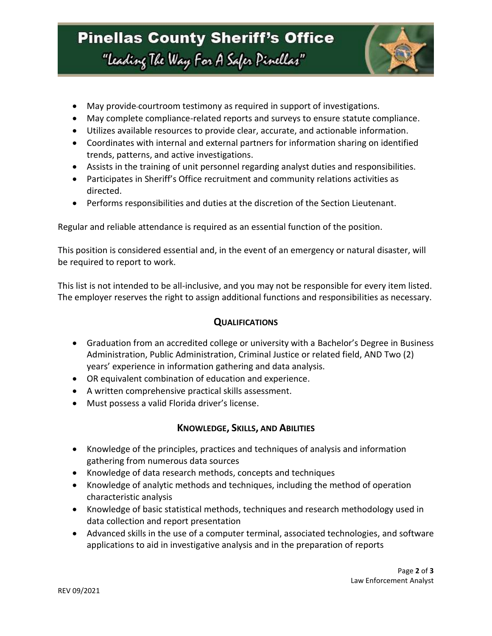

- May provide courtroom testimony as required in support of investigations.
- May complete compliance-related reports and surveys to ensure statute compliance.
- Utilizes available resources to provide clear, accurate, and actionable information.
- Coordinates with internal and external partners for information sharing on identified trends, patterns, and active investigations.
- Assists in the training of unit personnel regarding analyst duties and responsibilities.
- Participates in Sheriff's Office recruitment and community relations activities as directed.
- Performs responsibilities and duties at the discretion of the Section Lieutenant.

Regular and reliable attendance is required as an essential function of the position.

This position is considered essential and, in the event of an emergency or natural disaster, will be required to report to work.

This list is not intended to be all-inclusive, and you may not be responsible for every item listed. The employer reserves the right to assign additional functions and responsibilities as necessary.

#### **QUALIFICATIONS**

- Graduation from an accredited college or university with a Bachelor's Degree in Business Administration, Public Administration, Criminal Justice or related field, AND Two (2) years' experience in information gathering and data analysis.
- OR equivalent combination of education and experience.
- A written comprehensive practical skills assessment.
- Must possess a valid Florida driver's license.

### **KNOWLEDGE, SKILLS, AND ABILITIES**

- Knowledge of the principles, practices and techniques of analysis and information gathering from numerous data sources
- Knowledge of data research methods, concepts and techniques
- Knowledge of analytic methods and techniques, including the method of operation characteristic analysis
- Knowledge of basic statistical methods, techniques and research methodology used in data collection and report presentation
- Advanced skills in the use of a computer terminal, associated technologies, and software applications to aid in investigative analysis and in the preparation of reports